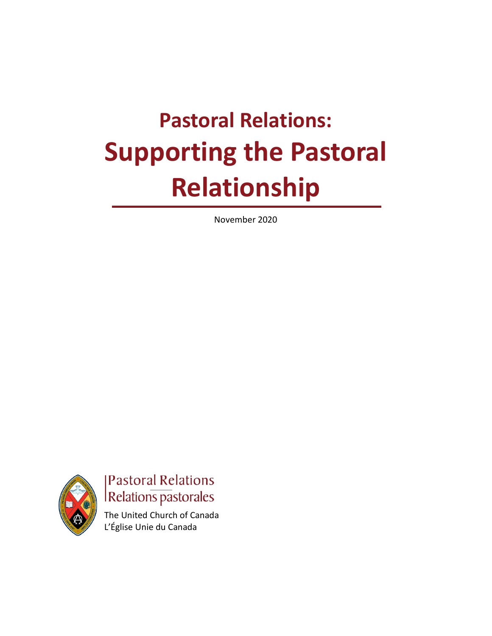# **Pastoral Relations: Supporting the Pastoral Relationship**

November 2020



**Pastoral Relations** Relations pastorales

The United Church of Canada L'Église Unie du Canada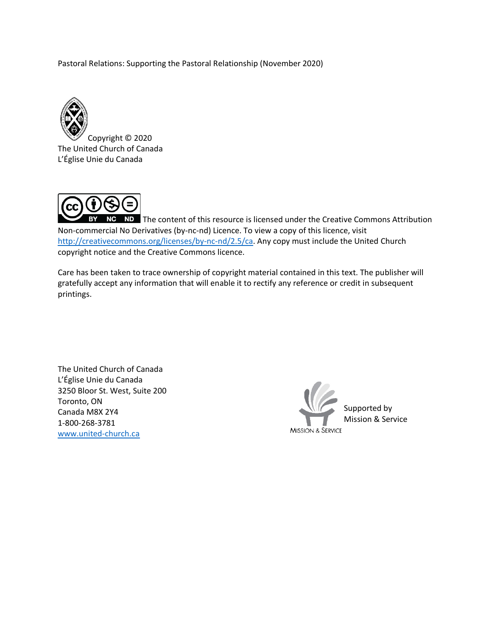Pastoral Relations: Supporting the Pastoral Relationship (November 2020)



Copyright © 2020 The United Church of Canada L'Église Unie du Canada



NC ND The content of this resource is licensed under the Creative Commons Attribution Non-commercial No Derivatives (by-nc-nd) Licence. To view a copy of this licence, visit [http://creativecommons.org/licenses/by-nc-nd/2.5/ca.](http://creativecommons.org/licenses/by-nc-nd/2.5/ca) Any copy must include the United Church copyright notice and the Creative Commons licence.

Care has been taken to trace ownership of copyright material contained in this text. The publisher will gratefully accept any information that will enable it to rectify any reference or credit in subsequent printings.

The United Church of Canada L'Église Unie du Canada 3250 Bloor St. West, Suite 200 Toronto, ON Canada M8X 2Y4 1-800-268-3781 [www.united-church.ca](https://www.united-church.ca/)

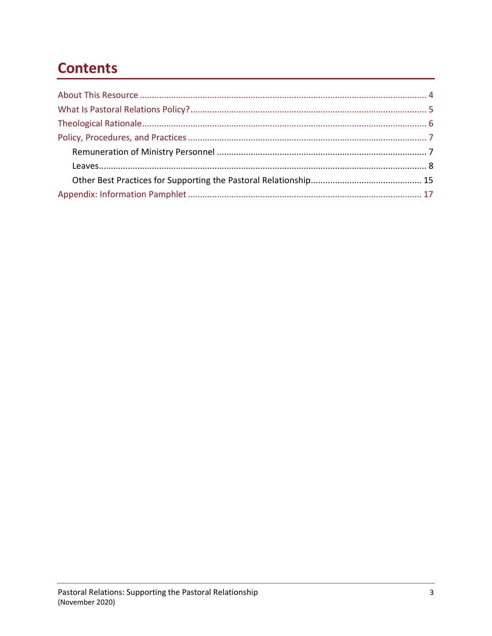# **Contents**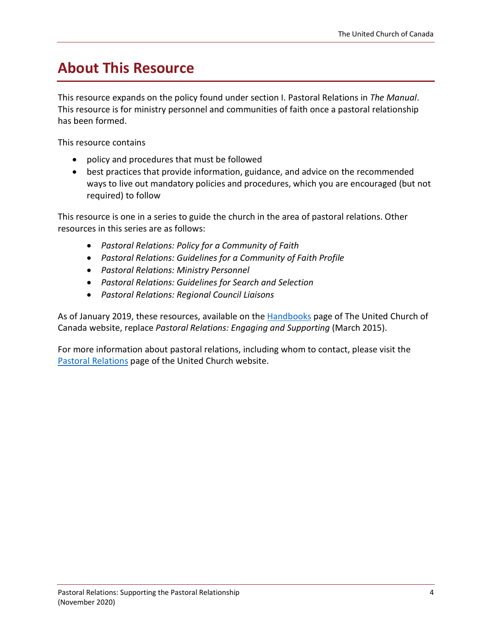# <span id="page-3-0"></span>**About This Resource**

This resource expands on the policy found under section I. Pastoral Relations in *The Manual*. This resource is for ministry personnel and communities of faith once a pastoral relationship has been formed.

This resource contains

- policy and procedures that must be followed
- best practices that provide information, guidance, and advice on the recommended ways to live out mandatory policies and procedures, which you are encouraged (but not required) to follow

This resource is one in a series to guide the church in the area of pastoral relations. Other resources in this series are as follows:

- *Pastoral Relations: Policy for a Community of Faith*
- *Pastoral Relations: Guidelines for a Community of Faith Profile*
- *Pastoral Relations: Ministry Personnel*
- *Pastoral Relations: Guidelines for Search and Selection*
- *Pastoral Relations: Regional Council Liaisons*

As of January 2019, these resources, available on the [Handbooks](https://www.united-church.ca/handbooks) page of The United Church of Canada website, replace *Pastoral Relations: Engaging and Supporting* (March 2015).

For more information about pastoral relations, including whom to contact, please visit the [Pastoral Relations](https://www.united-church.ca/leadership/supporting-ministry/pastoral-relations) page of the United Church website.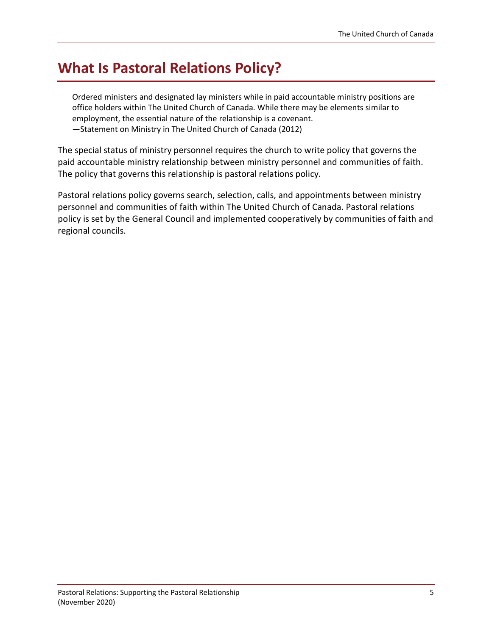# <span id="page-4-0"></span>**What Is Pastoral Relations Policy?**

Ordered ministers and designated lay ministers while in paid accountable ministry positions are office holders within The United Church of Canada. While there may be elements similar to employment, the essential nature of the relationship is a covenant. —Statement on Ministry in The United Church of Canada (2012)

The special status of ministry personnel requires the church to write policy that governs the paid accountable ministry relationship between ministry personnel and communities of faith. The policy that governs this relationship is pastoral relations policy.

Pastoral relations policy governs search, selection, calls, and appointments between ministry personnel and communities of faith within The United Church of Canada. Pastoral relations policy is set by the General Council and implemented cooperatively by communities of faith and regional councils.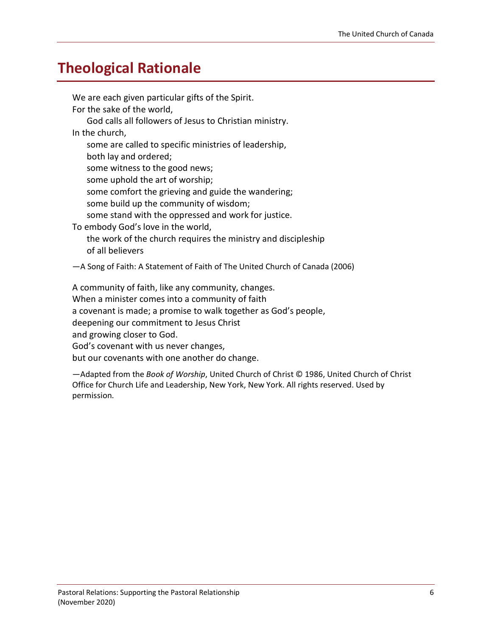## <span id="page-5-0"></span>**Theological Rationale**

We are each given particular gifts of the Spirit. For the sake of the world, God calls all followers of Jesus to Christian ministry. In the church, some are called to specific ministries of leadership, both lay and ordered; some witness to the good news; some uphold the art of worship; some comfort the grieving and guide the wandering; some build up the community of wisdom; some stand with the oppressed and work for justice. To embody God's love in the world, the work of the church requires the ministry and discipleship of all believers —A Song of Faith: A Statement of Faith of The United Church of Canada (2006) A community of faith, like any community, changes. When a minister comes into a community of faith a covenant is made; a promise to walk together as God's people, deepening our commitment to Jesus Christ

and growing closer to God.

God's covenant with us never changes,

but our covenants with one another do change.

—Adapted from the *Book of Worship*, United Church of Christ © 1986, United Church of Christ Office for Church Life and Leadership, New York, New York. All rights reserved. Used by permission.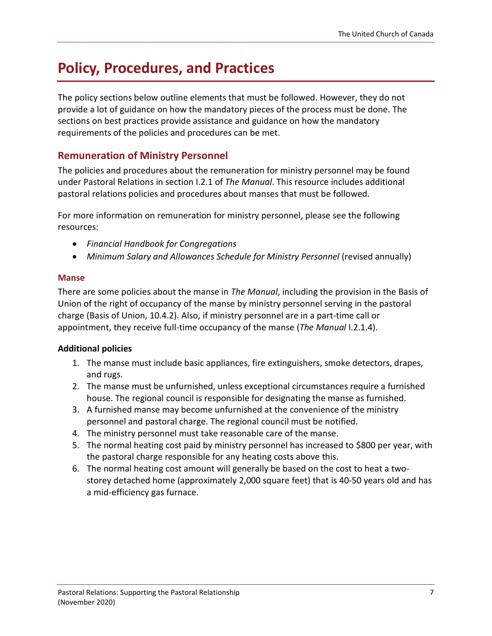# <span id="page-6-0"></span>**Policy, Procedures, and Practices**

The policy sections below outline elements that must be followed. However, they do not provide a lot of guidance on how the mandatory pieces of the process must be done. The sections on best practices provide assistance and guidance on how the mandatory requirements of the policies and procedures can be met.

### <span id="page-6-1"></span>**Remuneration of Ministry Personnel**

The policies and procedures about the remuneration for ministry personnel may be found under Pastoral Relations in section I.2.1 of *The Manual*. This resource includes additional pastoral relations policies and procedures about manses that must be followed.

For more information on remuneration for ministry personnel, please see the following resources:

- *Financial Handbook for Congregations*
- *Minimum Salary and Allowances Schedule for Ministry Personnel* (revised annually)

#### **Manse**

There are some policies about the manse in *The Manual*, including the provision in the Basis of Union of the right of occupancy of the manse by ministry personnel serving in the pastoral charge (Basis of Union, 10.4.2). Also, if ministry personnel are in a part-time call or appointment, they receive full-time occupancy of the manse (*The Manual* I.2.1.4).

### **Additional policies**

- 1. The manse must include basic appliances, fire extinguishers, smoke detectors, drapes, and rugs.
- 2. The manse must be unfurnished, unless exceptional circumstances require a furnished house. The regional council is responsible for designating the manse as furnished.
- 3. A furnished manse may become unfurnished at the convenience of the ministry personnel and pastoral charge. The regional council must be notified.
- 4. The ministry personnel must take reasonable care of the manse.
- 5. The normal heating cost paid by ministry personnel has increased to \$800 per year, with the pastoral charge responsible for any heating costs above this.
- 6. The normal heating cost amount will generally be based on the cost to heat a twostorey detached home (approximately 2,000 square feet) that is 40-50 years old and has a mid-efficiency gas furnace.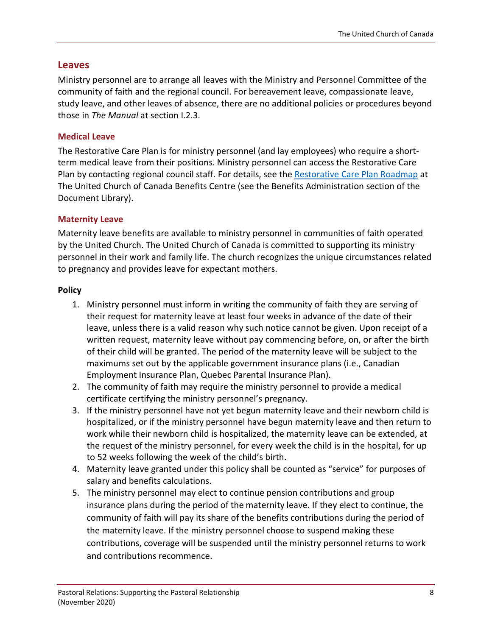#### <span id="page-7-0"></span>**Leaves**

Ministry personnel are to arrange all leaves with the Ministry and Personnel Committee of the community of faith and the regional council. For bereavement leave, compassionate leave, study leave, and other leaves of absence, there are no additional policies or procedures beyond those in *The Manual* at section I.2.3.

#### **Medical Leave**

The Restorative Care Plan is for ministry personnel (and lay employees) who require a shortterm medical leave from their positions. Ministry personnel can access the Restorative Care Plan by contacting regional council staff. For details, see the [Restorative Care Plan Roadmap](https://www.uccan-benefitscentre.ca/document-library/) at The United Church of Canada Benefits Centre (see the Benefits Administration section of the Document Library).

#### **Maternity Leave**

Maternity leave benefits are available to ministry personnel in communities of faith operated by the United Church. The United Church of Canada is committed to supporting its ministry personnel in their work and family life. The church recognizes the unique circumstances related to pregnancy and provides leave for expectant mothers.

#### **Policy**

- 1. Ministry personnel must inform in writing the community of faith they are serving of their request for maternity leave at least four weeks in advance of the date of their leave, unless there is a valid reason why such notice cannot be given. Upon receipt of a written request, maternity leave without pay commencing before, on, or after the birth of their child will be granted. The period of the maternity leave will be subject to the maximums set out by the applicable government insurance plans (i.e., Canadian Employment Insurance Plan, Quebec Parental Insurance Plan).
- 2. The community of faith may require the ministry personnel to provide a medical certificate certifying the ministry personnel's pregnancy.
- 3. If the ministry personnel have not yet begun maternity leave and their newborn child is hospitalized, or if the ministry personnel have begun maternity leave and then return to work while their newborn child is hospitalized, the maternity leave can be extended, at the request of the ministry personnel, for every week the child is in the hospital, for up to 52 weeks following the week of the child's birth.
- 4. Maternity leave granted under this policy shall be counted as "service" for purposes of salary and benefits calculations.
- 5. The ministry personnel may elect to continue pension contributions and group insurance plans during the period of the maternity leave. If they elect to continue, the community of faith will pay its share of the benefits contributions during the period of the maternity leave. If the ministry personnel choose to suspend making these contributions, coverage will be suspended until the ministry personnel returns to work and contributions recommence.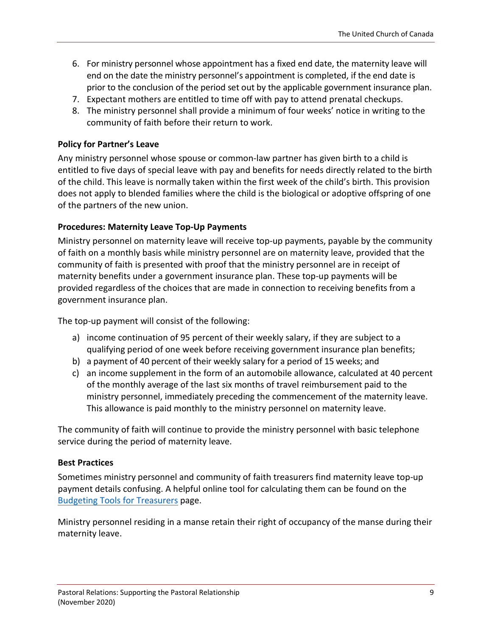- 6. For ministry personnel whose appointment has a fixed end date, the maternity leave will end on the date the ministry personnel's appointment is completed, if the end date is prior to the conclusion of the period set out by the applicable government insurance plan.
- 7. Expectant mothers are entitled to time off with pay to attend prenatal checkups.
- 8. The ministry personnel shall provide a minimum of four weeks' notice in writing to the community of faith before their return to work.

#### **Policy for Partner's Leave**

Any ministry personnel whose spouse or common-law partner has given birth to a child is entitled to five days of special leave with pay and benefits for needs directly related to the birth of the child. This leave is normally taken within the first week of the child's birth. This provision does not apply to blended families where the child is the biological or adoptive offspring of one of the partners of the new union.

#### **Procedures: Maternity Leave Top-Up Payments**

Ministry personnel on maternity leave will receive top-up payments, payable by the community of faith on a monthly basis while ministry personnel are on maternity leave, provided that the community of faith is presented with proof that the ministry personnel are in receipt of maternity benefits under a government insurance plan. These top-up payments will be provided regardless of the choices that are made in connection to receiving benefits from a government insurance plan.

The top-up payment will consist of the following:

- a) income continuation of 95 percent of their weekly salary, if they are subject to a qualifying period of one week before receiving government insurance plan benefits;
- b) a payment of 40 percent of their weekly salary for a period of 15 weeks; and
- c) an income supplement in the form of an automobile allowance, calculated at 40 percent of the monthly average of the last six months of travel reimbursement paid to the ministry personnel, immediately preceding the commencement of the maternity leave. This allowance is paid monthly to the ministry personnel on maternity leave.

The community of faith will continue to provide the ministry personnel with basic telephone service during the period of maternity leave.

#### **Best Practices**

Sometimes ministry personnel and community of faith treasurers find maternity leave top-up payment details confusing. A helpful online tool for calculating them can be found on the [Budgeting Tools for Treasurers](https://www.united-church.ca/leadership/church-administration/budgeting-tools-treasurers) page.

Ministry personnel residing in a manse retain their right of occupancy of the manse during their maternity leave.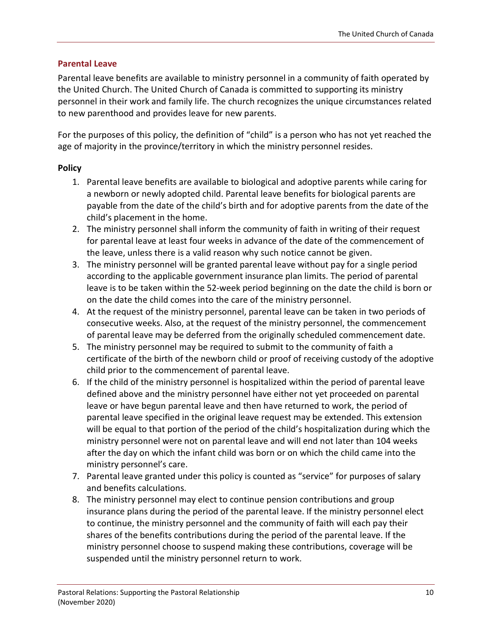#### **Parental Leave**

Parental leave benefits are available to ministry personnel in a community of faith operated by the United Church. The United Church of Canada is committed to supporting its ministry personnel in their work and family life. The church recognizes the unique circumstances related to new parenthood and provides leave for new parents.

For the purposes of this policy, the definition of "child" is a person who has not yet reached the age of majority in the province/territory in which the ministry personnel resides.

#### **Policy**

- 1. Parental leave benefits are available to biological and adoptive parents while caring for a newborn or newly adopted child. Parental leave benefits for biological parents are payable from the date of the child's birth and for adoptive parents from the date of the child's placement in the home.
- 2. The ministry personnel shall inform the community of faith in writing of their request for parental leave at least four weeks in advance of the date of the commencement of the leave, unless there is a valid reason why such notice cannot be given.
- 3. The ministry personnel will be granted parental leave without pay for a single period according to the applicable government insurance plan limits. The period of parental leave is to be taken within the 52-week period beginning on the date the child is born or on the date the child comes into the care of the ministry personnel.
- 4. At the request of the ministry personnel, parental leave can be taken in two periods of consecutive weeks. Also, at the request of the ministry personnel, the commencement of parental leave may be deferred from the originally scheduled commencement date.
- 5. The ministry personnel may be required to submit to the community of faith a certificate of the birth of the newborn child or proof of receiving custody of the adoptive child prior to the commencement of parental leave.
- 6. If the child of the ministry personnel is hospitalized within the period of parental leave defined above and the ministry personnel have either not yet proceeded on parental leave or have begun parental leave and then have returned to work, the period of parental leave specified in the original leave request may be extended. This extension will be equal to that portion of the period of the child's hospitalization during which the ministry personnel were not on parental leave and will end not later than 104 weeks after the day on which the infant child was born or on which the child came into the ministry personnel's care.
- 7. Parental leave granted under this policy is counted as "service" for purposes of salary and benefits calculations.
- 8. The ministry personnel may elect to continue pension contributions and group insurance plans during the period of the parental leave. If the ministry personnel elect to continue, the ministry personnel and the community of faith will each pay their shares of the benefits contributions during the period of the parental leave. If the ministry personnel choose to suspend making these contributions, coverage will be suspended until the ministry personnel return to work.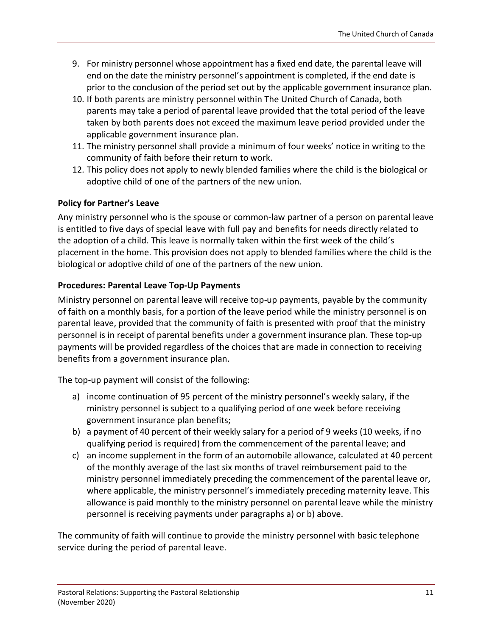- 9. For ministry personnel whose appointment has a fixed end date, the parental leave will end on the date the ministry personnel's appointment is completed, if the end date is prior to the conclusion of the period set out by the applicable government insurance plan.
- 10. If both parents are ministry personnel within The United Church of Canada, both parents may take a period of parental leave provided that the total period of the leave taken by both parents does not exceed the maximum leave period provided under the applicable government insurance plan.
- 11. The ministry personnel shall provide a minimum of four weeks' notice in writing to the community of faith before their return to work.
- 12. This policy does not apply to newly blended families where the child is the biological or adoptive child of one of the partners of the new union.

### **Policy for Partner's Leave**

Any ministry personnel who is the spouse or common-law partner of a person on parental leave is entitled to five days of special leave with full pay and benefits for needs directly related to the adoption of a child. This leave is normally taken within the first week of the child's placement in the home. This provision does not apply to blended families where the child is the biological or adoptive child of one of the partners of the new union.

### **Procedures: Parental Leave Top-Up Payments**

Ministry personnel on parental leave will receive top-up payments, payable by the community of faith on a monthly basis, for a portion of the leave period while the ministry personnel is on parental leave, provided that the community of faith is presented with proof that the ministry personnel is in receipt of parental benefits under a government insurance plan. These top-up payments will be provided regardless of the choices that are made in connection to receiving benefits from a government insurance plan.

The top-up payment will consist of the following:

- a) income continuation of 95 percent of the ministry personnel's weekly salary, if the ministry personnel is subject to a qualifying period of one week before receiving government insurance plan benefits;
- b) a payment of 40 percent of their weekly salary for a period of 9 weeks (10 weeks, if no qualifying period is required) from the commencement of the parental leave; and
- c) an income supplement in the form of an automobile allowance, calculated at 40 percent of the monthly average of the last six months of travel reimbursement paid to the ministry personnel immediately preceding the commencement of the parental leave or, where applicable, the ministry personnel's immediately preceding maternity leave. This allowance is paid monthly to the ministry personnel on parental leave while the ministry personnel is receiving payments under paragraphs a) or b) above.

The community of faith will continue to provide the ministry personnel with basic telephone service during the period of parental leave.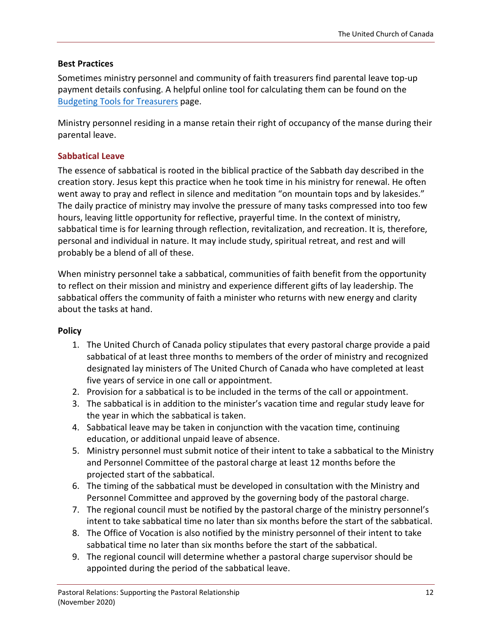#### **Best Practices**

Sometimes ministry personnel and community of faith treasurers find parental leave top-up payment details confusing. A helpful online tool for calculating them can be found on the [Budgeting Tools for Treasurers](https://www.united-church.ca/leadership/church-administration/budgeting-tools-treasurers) page.

Ministry personnel residing in a manse retain their right of occupancy of the manse during their parental leave.

#### **Sabbatical Leave**

The essence of sabbatical is rooted in the biblical practice of the Sabbath day described in the creation story. Jesus kept this practice when he took time in his ministry for renewal. He often went away to pray and reflect in silence and meditation "on mountain tops and by lakesides." The daily practice of ministry may involve the pressure of many tasks compressed into too few hours, leaving little opportunity for reflective, prayerful time. In the context of ministry, sabbatical time is for learning through reflection, revitalization, and recreation. It is, therefore, personal and individual in nature. It may include study, spiritual retreat, and rest and will probably be a blend of all of these.

When ministry personnel take a sabbatical, communities of faith benefit from the opportunity to reflect on their mission and ministry and experience different gifts of lay leadership. The sabbatical offers the community of faith a minister who returns with new energy and clarity about the tasks at hand.

#### **Policy**

- 1. The United Church of Canada policy stipulates that every pastoral charge provide a paid sabbatical of at least three months to members of the order of ministry and recognized designated lay ministers of The United Church of Canada who have completed at least five years of service in one call or appointment.
- 2. Provision for a sabbatical is to be included in the terms of the call or appointment.
- 3. The sabbatical is in addition to the minister's vacation time and regular study leave for the year in which the sabbatical is taken.
- 4. Sabbatical leave may be taken in conjunction with the vacation time, continuing education, or additional unpaid leave of absence.
- 5. Ministry personnel must submit notice of their intent to take a sabbatical to the Ministry and Personnel Committee of the pastoral charge at least 12 months before the projected start of the sabbatical.
- 6. The timing of the sabbatical must be developed in consultation with the Ministry and Personnel Committee and approved by the governing body of the pastoral charge.
- 7. The regional council must be notified by the pastoral charge of the ministry personnel's intent to take sabbatical time no later than six months before the start of the sabbatical.
- 8. The Office of Vocation is also notified by the ministry personnel of their intent to take sabbatical time no later than six months before the start of the sabbatical.
- 9. The regional council will determine whether a pastoral charge supervisor should be appointed during the period of the sabbatical leave.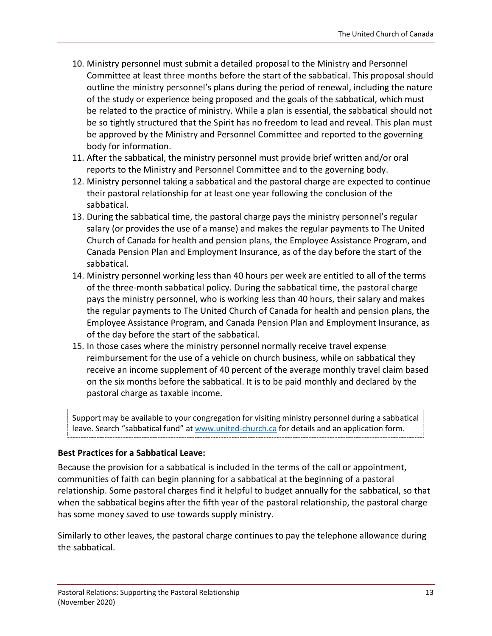- 10. Ministry personnel must submit a detailed proposal to the Ministry and Personnel Committee at least three months before the start of the sabbatical. This proposal should outline the ministry personnel's plans during the period of renewal, including the nature of the study or experience being proposed and the goals of the sabbatical, which must be related to the practice of ministry. While a plan is essential, the sabbatical should not be so tightly structured that the Spirit has no freedom to lead and reveal. This plan must be approved by the Ministry and Personnel Committee and reported to the governing body for information.
- 11. After the sabbatical, the ministry personnel must provide brief written and/or oral reports to the Ministry and Personnel Committee and to the governing body.
- 12. Ministry personnel taking a sabbatical and the pastoral charge are expected to continue their pastoral relationship for at least one year following the conclusion of the sabbatical.
- 13. During the sabbatical time, the pastoral charge pays the ministry personnel's regular salary (or provides the use of a manse) and makes the regular payments to The United Church of Canada for health and pension plans, the Employee Assistance Program, and Canada Pension Plan and Employment Insurance, as of the day before the start of the sabbatical.
- 14. Ministry personnel working less than 40 hours per week are entitled to all of the terms of the three-month sabbatical policy. During the sabbatical time, the pastoral charge pays the ministry personnel, who is working less than 40 hours, their salary and makes the regular payments to The United Church of Canada for health and pension plans, the Employee Assistance Program, and Canada Pension Plan and Employment Insurance, as of the day before the start of the sabbatical.
- 15. In those cases where the ministry personnel normally receive travel expense reimbursement for the use of a vehicle on church business, while on sabbatical they receive an income supplement of 40 percent of the average monthly travel claim based on the six months before the sabbatical. It is to be paid monthly and declared by the pastoral charge as taxable income.

Support may be available to your congregation for visiting ministry personnel during a sabbatical leave. Search "sabbatical fund" at [www.united-church.ca](https://www.united-church.ca/) for details and an application form.

### **Best Practices for a Sabbatical Leave:**

Because the provision for a sabbatical is included in the terms of the call or appointment, communities of faith can begin planning for a sabbatical at the beginning of a pastoral relationship. Some pastoral charges find it helpful to budget annually for the sabbatical, so that when the sabbatical begins after the fifth year of the pastoral relationship, the pastoral charge has some money saved to use towards supply ministry.

Similarly to other leaves, the pastoral charge continues to pay the telephone allowance during the sabbatical.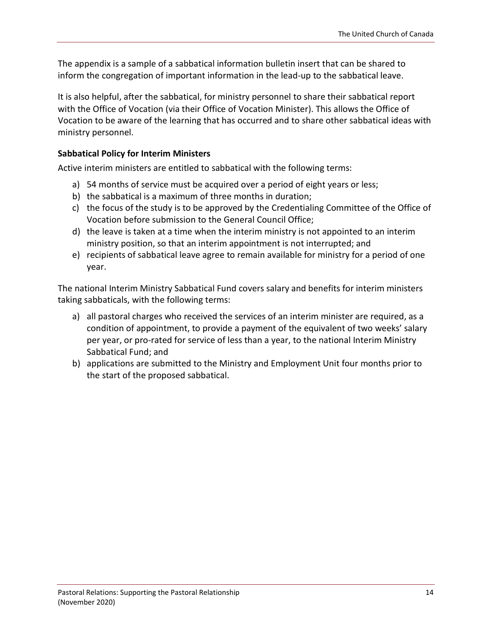The appendix is a sample of a sabbatical information bulletin insert that can be shared to inform the congregation of important information in the lead-up to the sabbatical leave.

It is also helpful, after the sabbatical, for ministry personnel to share their sabbatical report with the Office of Vocation (via their Office of Vocation Minister). This allows the Office of Vocation to be aware of the learning that has occurred and to share other sabbatical ideas with ministry personnel.

#### **Sabbatical Policy for Interim Ministers**

Active interim ministers are entitled to sabbatical with the following terms:

- a) 54 months of service must be acquired over a period of eight years or less;
- b) the sabbatical is a maximum of three months in duration;
- c) the focus of the study is to be approved by the Credentialing Committee of the Office of Vocation before submission to the General Council Office;
- d) the leave is taken at a time when the interim ministry is not appointed to an interim ministry position, so that an interim appointment is not interrupted; and
- e) recipients of sabbatical leave agree to remain available for ministry for a period of one year.

The national Interim Ministry Sabbatical Fund covers salary and benefits for interim ministers taking sabbaticals, with the following terms:

- a) all pastoral charges who received the services of an interim minister are required, as a condition of appointment, to provide a payment of the equivalent of two weeks' salary per year, or pro-rated for service of less than a year, to the national Interim Ministry Sabbatical Fund; and
- b) applications are submitted to the Ministry and Employment Unit four months prior to the start of the proposed sabbatical.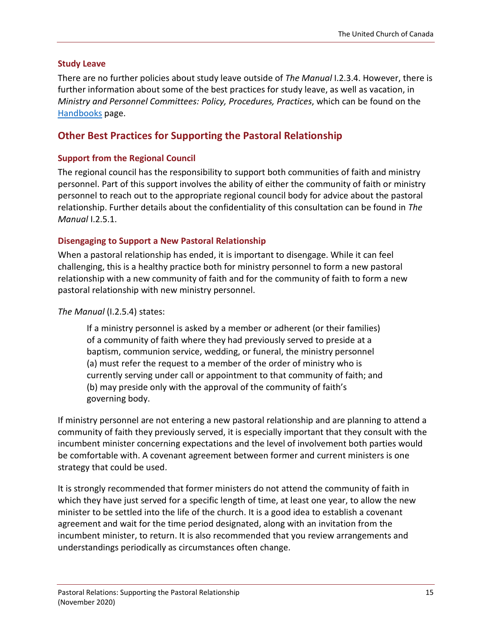#### **Study Leave**

There are no further policies about study leave outside of *The Manual* I.2.3.4. However, there is further information about some of the best practices for study leave, as well as vacation, in *Ministry and Personnel Committees: Policy, Procedures, Practices*, which can be found on the [Handbooks](https://www.united-church.ca/handbooks) page.

### <span id="page-14-0"></span>**Other Best Practices for Supporting the Pastoral Relationship**

#### **Support from the Regional Council**

The regional council has the responsibility to support both communities of faith and ministry personnel. Part of this support involves the ability of either the community of faith or ministry personnel to reach out to the appropriate regional council body for advice about the pastoral relationship. Further details about the confidentiality of this consultation can be found in *The Manual* I.2.5.1.

#### **Disengaging to Support a New Pastoral Relationship**

When a pastoral relationship has ended, it is important to disengage. While it can feel challenging, this is a healthy practice both for ministry personnel to form a new pastoral relationship with a new community of faith and for the community of faith to form a new pastoral relationship with new ministry personnel.

#### *The Manual* (I.2.5.4) states:

If a ministry personnel is asked by a member or adherent (or their families) of a community of faith where they had previously served to preside at a baptism, communion service, wedding, or funeral, the ministry personnel (a) must refer the request to a member of the order of ministry who is currently serving under call or appointment to that community of faith; and (b) may preside only with the approval of the community of faith's governing body.

If ministry personnel are not entering a new pastoral relationship and are planning to attend a community of faith they previously served, it is especially important that they consult with the incumbent minister concerning expectations and the level of involvement both parties would be comfortable with. A covenant agreement between former and current ministers is one strategy that could be used.

It is strongly recommended that former ministers do not attend the community of faith in which they have just served for a specific length of time, at least one year, to allow the new minister to be settled into the life of the church. It is a good idea to establish a covenant agreement and wait for the time period designated, along with an invitation from the incumbent minister, to return. It is also recommended that you review arrangements and understandings periodically as circumstances often change.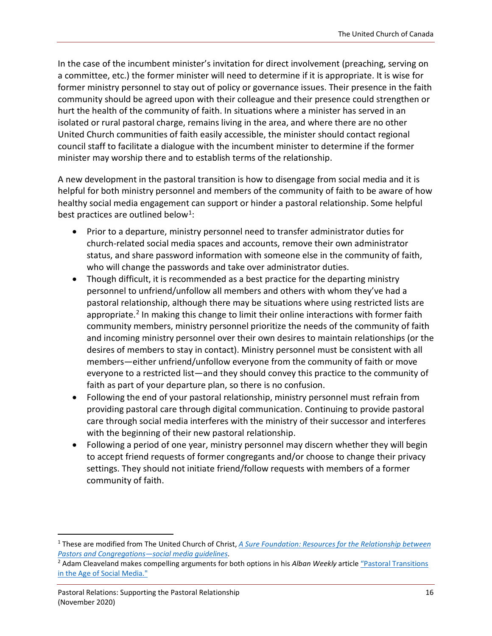In the case of the incumbent minister's invitation for direct involvement (preaching, serving on a committee, etc.) the former minister will need to determine if it is appropriate. It is wise for former ministry personnel to stay out of policy or governance issues. Their presence in the faith community should be agreed upon with their colleague and their presence could strengthen or hurt the health of the community of faith. In situations where a minister has served in an isolated or rural pastoral charge, remains living in the area, and where there are no other United Church communities of faith easily accessible, the minister should contact regional council staff to facilitate a dialogue with the incumbent minister to determine if the former minister may worship there and to establish terms of the relationship.

A new development in the pastoral transition is how to disengage from social media and it is helpful for both ministry personnel and members of the community of faith to be aware of how healthy social media engagement can support or hinder a pastoral relationship. Some helpful best practices are outlined below<sup>1</sup>:

- Prior to a departure, ministry personnel need to transfer administrator duties for church-related social media spaces and accounts, remove their own administrator status, and share password information with someone else in the community of faith, who will change the passwords and take over administrator duties.
- Though difficult, it is recommended as a best practice for the departing ministry personnel to unfriend/unfollow all members and others with whom they've had a pastoral relationship, although there may be situations where using restricted lists are appropriate.<sup>2</sup> In making this change to limit their online interactions with former faith community members, ministry personnel prioritize the needs of the community of faith and incoming ministry personnel over their own desires to maintain relationships (or the desires of members to stay in contact). Ministry personnel must be consistent with all members—either unfriend/unfollow everyone from the community of faith or move everyone to a restricted list—and they should convey this practice to the community of faith as part of your departure plan, so there is no confusion.
- Following the end of your pastoral relationship, ministry personnel must refrain from providing pastoral care through digital communication. Continuing to provide pastoral care through social media interferes with the ministry of their successor and interferes with the beginning of their new pastoral relationship.
- Following a period of one year, ministry personnel may discern whether they will begin to accept friend requests of former congregants and/or choose to change their privacy settings. They should not initiate friend/follow requests with members of a former community of faith.

<span id="page-15-0"></span> <sup>1</sup> These are modified from The United Church of Christ, *[A Sure Foundation: Resources for the Relationship between](https://uccfiles.com/pdf/ASF-SocialMediaGuidelines.pdf)  [Pastors and Congregations—social media guidelines](https://uccfiles.com/pdf/ASF-SocialMediaGuidelines.pdf)*.

<span id="page-15-1"></span><sup>&</sup>lt;sup>2</sup> Adam Cleaveland makes compelling arguments for both options in his Alban Weekly article "Pastoral Transitions [in the Age of Social Media."](https://alban.org/archive/pastoral-transitions-in-the-age-of-social-media/)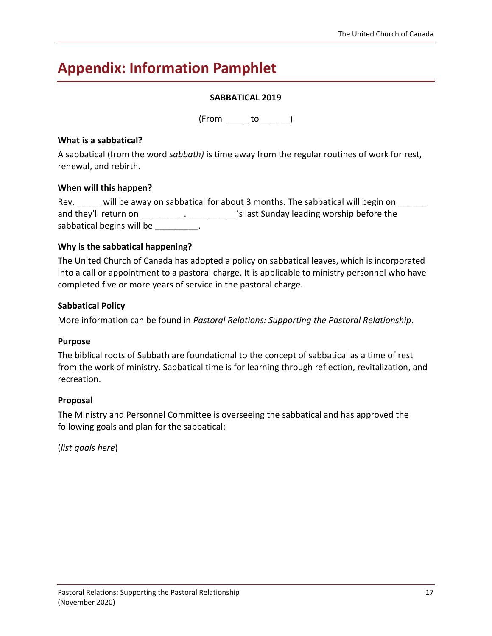# <span id="page-16-0"></span>**Appendix: Information Pamphlet**

#### **SABBATICAL 2019**

 $(From \_ to \_))$ 

#### **What is a sabbatical?**

A sabbatical (from the word *sabbath)* is time away from the regular routines of work for rest, renewal, and rebirth.

#### **When will this happen?**

| Rev.                  |                           | will be away on sabbatical for about 3 months. The sabbatical will begin on |
|-----------------------|---------------------------|-----------------------------------------------------------------------------|
| and they'll return on |                           | 's last Sunday leading worship before the                                   |
|                       | sabbatical begins will be |                                                                             |

#### **Why is the sabbatical happening?**

The United Church of Canada has adopted a policy on sabbatical leaves, which is incorporated into a call or appointment to a pastoral charge. It is applicable to ministry personnel who have completed five or more years of service in the pastoral charge.

#### **Sabbatical Policy**

More information can be found in *Pastoral Relations: Supporting the Pastoral Relationship*.

#### **Purpose**

The biblical roots of Sabbath are foundational to the concept of sabbatical as a time of rest from the work of ministry. Sabbatical time is for learning through reflection, revitalization, and recreation.

#### **Proposal**

The Ministry and Personnel Committee is overseeing the sabbatical and has approved the following goals and plan for the sabbatical:

(*list goals here*)